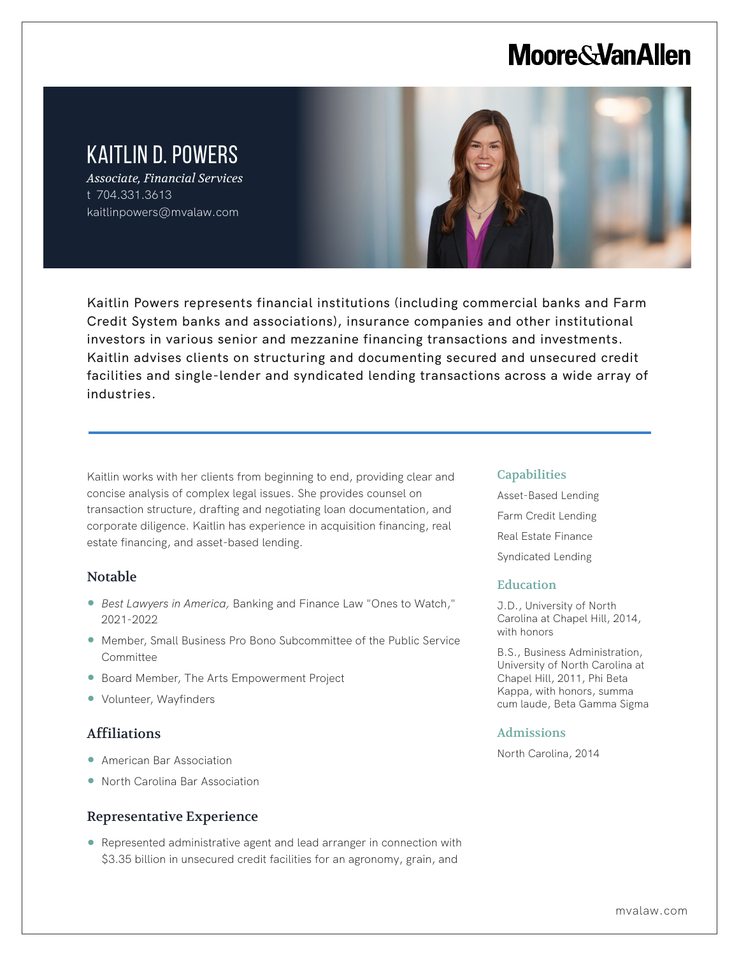# **Moore & Van Allen**

# KAITLIN D. POWERS

*Associate, Financial Services* t 704.331.3613 kaitlinpowers@mvalaw.com



Kaitlin Powers represents financial institutions (including commercial banks and Farm Credit System banks and associations), insurance companies and other institutional investors in various senior and mezzanine financing transactions and investments. Kaitlin advises clients on structuring and documenting secured and unsecured credit facilities and single-lender and syndicated lending transactions across a wide array of industries.

Kaitlin works with her clients from beginning to end, providing clear and concise analysis of complex legal issues. She provides counsel on transaction structure, drafting and negotiating loan documentation, and corporate diligence. Kaitlin has experience in acquisition financing, real estate financing, and asset-based lending.

# Notable

L

- *Best Lawyers in America,* Banking and Finance Law "Ones to Watch," 2021-2022
- Member, Small Business Pro Bono Subcommittee of the Public Service Committee
- Board Member, The Arts Empowerment Project
- Volunteer, Wayfinders

# Affiliations

- American Bar Association
- North Carolina Bar Association

# Representative Experience

● Represented administrative agent and lead arranger in connection with \$3.35 billion in unsecured credit facilities for an agronomy, grain, and

#### Capabilities

Asset-Based Lending Farm Credit Lending Real Estate Finance Syndicated Lending

# **Education**

J.D., University of North Carolina at Chapel Hill, 2014, with honors

B.S., Business Administration, University of North Carolina at Chapel Hill, 2011, Phi Beta Kappa, with honors, summa cum laude, Beta Gamma Sigma

#### Admissions

North Carolina, 2014